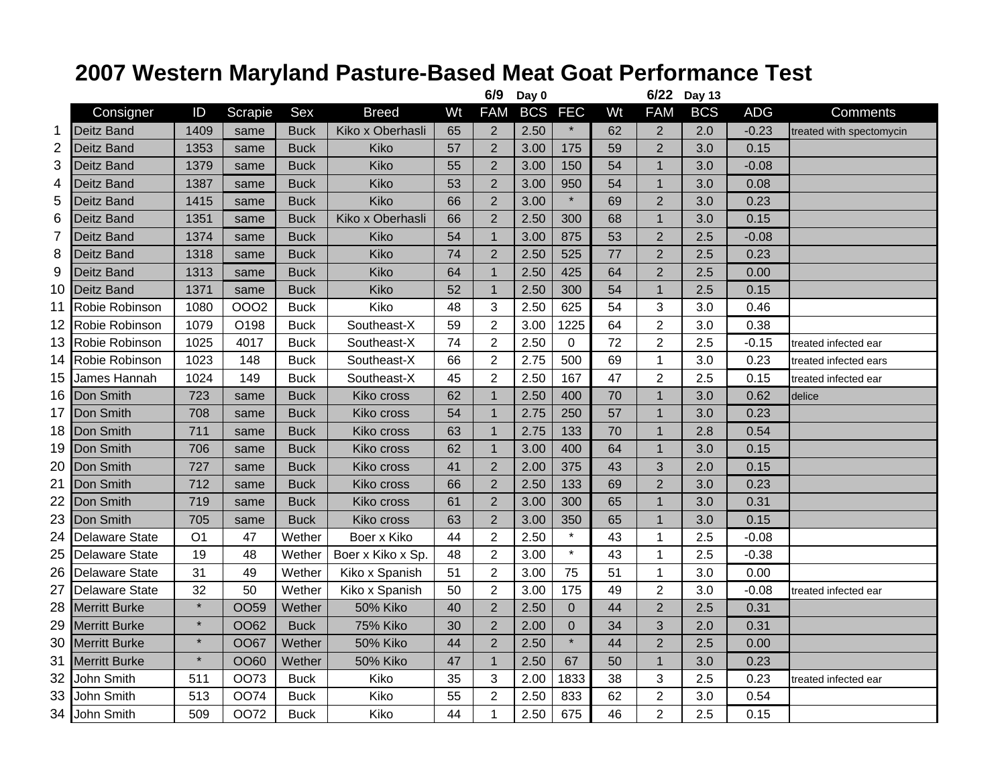## **2007 Western Maryland Pasture-Based Meat Goat Performance Test**

|                 |                       |                |             |             |                   |    | 6/9            | Day 0      |                |    | 6/22           | <b>Day 13</b> |            |                          |
|-----------------|-----------------------|----------------|-------------|-------------|-------------------|----|----------------|------------|----------------|----|----------------|---------------|------------|--------------------------|
|                 | Consigner             | ID             | Scrapie     | Sex         | <b>Breed</b>      | Wt | <b>FAM</b>     | <b>BCS</b> | <b>FEC</b>     | Wt | <b>FAM</b>     | <b>BCS</b>    | <b>ADG</b> | <b>Comments</b>          |
| 1               | <b>Deitz Band</b>     | 1409           | same        | <b>Buck</b> | Kiko x Oberhasli  | 65 | $\overline{2}$ | 2.50       | $\star$        | 62 | $\overline{2}$ | 2.0           | $-0.23$    | treated with spectomycin |
| 2               | Deitz Band            | 1353           | same        | <b>Buck</b> | Kiko              | 57 | $\overline{2}$ | 3.00       | 175            | 59 | $\overline{2}$ | 3.0           | 0.15       |                          |
| 3               | <b>Deitz Band</b>     | 1379           | same        | <b>Buck</b> | Kiko              | 55 | $\overline{2}$ | 3.00       | 150            | 54 | $\mathbf{1}$   | 3.0           | $-0.08$    |                          |
| 4               | <b>Deitz Band</b>     | 1387           | same        | <b>Buck</b> | Kiko              | 53 | $\overline{2}$ | 3.00       | 950            | 54 | $\mathbf{1}$   | 3.0           | 0.08       |                          |
| 5               | Deitz Band            | 1415           | same        | <b>Buck</b> | Kiko              | 66 | $\overline{2}$ | 3.00       | $\star$        | 69 | $\overline{2}$ | 3.0           | 0.23       |                          |
| 6               | Deitz Band            | 1351           | same        | <b>Buck</b> | Kiko x Oberhasli  | 66 | $\overline{2}$ | 2.50       | 300            | 68 | $\mathbf{1}$   | 3.0           | 0.15       |                          |
| $\overline{7}$  | Deitz Band            | 1374           | same        | <b>Buck</b> | Kiko              | 54 | $\mathbf{1}$   | 3.00       | 875            | 53 | $\overline{2}$ | 2.5           | $-0.08$    |                          |
| 8               | Deitz Band            | 1318           | same        | <b>Buck</b> | Kiko              | 74 | $\overline{2}$ | 2.50       | 525            | 77 | $\overline{2}$ | 2.5           | 0.23       |                          |
| 9               | Deitz Band            | 1313           | same        | <b>Buck</b> | Kiko              | 64 | $\mathbf{1}$   | 2.50       | 425            | 64 | $\overline{2}$ | 2.5           | 0.00       |                          |
| 10              | <b>Deitz Band</b>     | 1371           | same        | <b>Buck</b> | Kiko              | 52 | $\mathbf{1}$   | 2.50       | 300            | 54 | $\mathbf{1}$   | 2.5           | 0.15       |                          |
| 11              | Robie Robinson        | 1080           | 0002        | <b>Buck</b> | Kiko              | 48 | $\sqrt{3}$     | 2.50       | 625            | 54 | 3              | 3.0           | 0.46       |                          |
| 12              | Robie Robinson        | 1079           | O198        | <b>Buck</b> | Southeast-X       | 59 | $\overline{2}$ | 3.00       | 1225           | 64 | $\overline{2}$ | 3.0           | 0.38       |                          |
| 13              | Robie Robinson        | 1025           | 4017        | <b>Buck</b> | Southeast-X       | 74 | $\overline{2}$ | 2.50       | $\mathbf 0$    | 72 | $\overline{2}$ | 2.5           | $-0.15$    | treated infected ear     |
| 14              | Robie Robinson        | 1023           | 148         | <b>Buck</b> | Southeast-X       | 66 | $\overline{2}$ | 2.75       | 500            | 69 | $\mathbf{1}$   | 3.0           | 0.23       | treated infected ears    |
| 15              | James Hannah          | 1024           | 149         | <b>Buck</b> | Southeast-X       | 45 | $\overline{2}$ | 2.50       | 167            | 47 | $\overline{2}$ | 2.5           | 0.15       | treated infected ear     |
| 16              | Don Smith             | 723            | same        | <b>Buck</b> | Kiko cross        | 62 | $\mathbf{1}$   | 2.50       | 400            | 70 | $\mathbf{1}$   | 3.0           | 0.62       | delice                   |
| 17              | Don Smith             | 708            | same        | <b>Buck</b> | Kiko cross        | 54 | $\mathbf{1}$   | 2.75       | 250            | 57 | $\mathbf{1}$   | 3.0           | 0.23       |                          |
| 18              | Don Smith             | 711            | same        | <b>Buck</b> | Kiko cross        | 63 | $\mathbf{1}$   | 2.75       | 133            | 70 | $\mathbf 1$    | 2.8           | 0.54       |                          |
| 19              | Don Smith             | 706            | same        | <b>Buck</b> | Kiko cross        | 62 | $\mathbf{1}$   | 3.00       | 400            | 64 | $\mathbf{1}$   | 3.0           | 0.15       |                          |
| 20              | Don Smith             | 727            | same        | <b>Buck</b> | Kiko cross        | 41 | $\overline{2}$ | 2.00       | 375            | 43 | $\mathfrak{B}$ | 2.0           | 0.15       |                          |
| $\overline{21}$ | Don Smith             | 712            | same        | <b>Buck</b> | Kiko cross        | 66 | $\overline{2}$ | 2.50       | 133            | 69 | $\overline{2}$ | 3.0           | 0.23       |                          |
| 22              | Don Smith             | 719            | same        | <b>Buck</b> | Kiko cross        | 61 | $\overline{2}$ | 3.00       | 300            | 65 | $\mathbf{1}$   | 3.0           | 0.31       |                          |
| 23              | Don Smith             | 705            | same        | <b>Buck</b> | Kiko cross        | 63 | $\overline{2}$ | 3.00       | 350            | 65 | $\mathbf{1}$   | 3.0           | 0.15       |                          |
| 24              | <b>Delaware State</b> | O <sub>1</sub> | 47          | Wether      | Boer x Kiko       | 44 | $\overline{2}$ | 2.50       | $\star$        | 43 | $\mathbf{1}$   | 2.5           | $-0.08$    |                          |
| 25              | <b>Delaware State</b> | 19             | 48          | Wether      | Boer x Kiko x Sp. | 48 | $\overline{2}$ | 3.00       | $\star$        | 43 | $\mathbf{1}$   | 2.5           | $-0.38$    |                          |
| 26              | <b>Delaware State</b> | 31             | 49          | Wether      | Kiko x Spanish    | 51 | $\overline{2}$ | 3.00       | 75             | 51 | $\mathbf{1}$   | 3.0           | 0.00       |                          |
| 27              | <b>Delaware State</b> | 32             | 50          | Wether      | Kiko x Spanish    | 50 | $\overline{2}$ | 3.00       | 175            | 49 | $\overline{2}$ | 3.0           | $-0.08$    | treated infected ear     |
| 28              | <b>Merritt Burke</b>  | $\star$        | OO59        | Wether      | <b>50% Kiko</b>   | 40 | $\overline{2}$ | 2.50       | $\overline{0}$ | 44 | $\overline{2}$ | 2.5           | 0.31       |                          |
| 29              | <b>Merritt Burke</b>  | $\star$        | OO62        | <b>Buck</b> | 75% Kiko          | 30 | $\overline{2}$ | 2.00       | $\mathbf 0$    | 34 | 3              | 2.0           | 0.31       |                          |
| 30              | <b>Merritt Burke</b>  | $\star$        | <b>OO67</b> | Wether      | <b>50% Kiko</b>   | 44 | $\overline{2}$ | 2.50       | $\star$        | 44 | $\overline{2}$ | 2.5           | 0.00       |                          |
| 31              | <b>Merritt Burke</b>  | $\ast$         | OO60        | Wether      | 50% Kiko          | 47 | $\mathbf{1}$   | 2.50       | 67             | 50 | $\mathbf{1}$   | 3.0           | 0.23       |                          |
| 32              | John Smith            | 511            | <b>OO73</b> | <b>Buck</b> | Kiko              | 35 | 3              | 2.00       | 1833           | 38 | 3              | 2.5           | 0.23       | treated infected ear     |
| 33              | John Smith            | 513            | <b>OO74</b> | <b>Buck</b> | Kiko              | 55 | $\overline{2}$ | 2.50       | 833            | 62 | $\overline{2}$ | 3.0           | 0.54       |                          |
| 34              | John Smith            | 509            | <b>OO72</b> | <b>Buck</b> | Kiko              | 44 | $\mathbf{1}$   | 2.50       | 675            | 46 | $\overline{2}$ | 2.5           | 0.15       |                          |